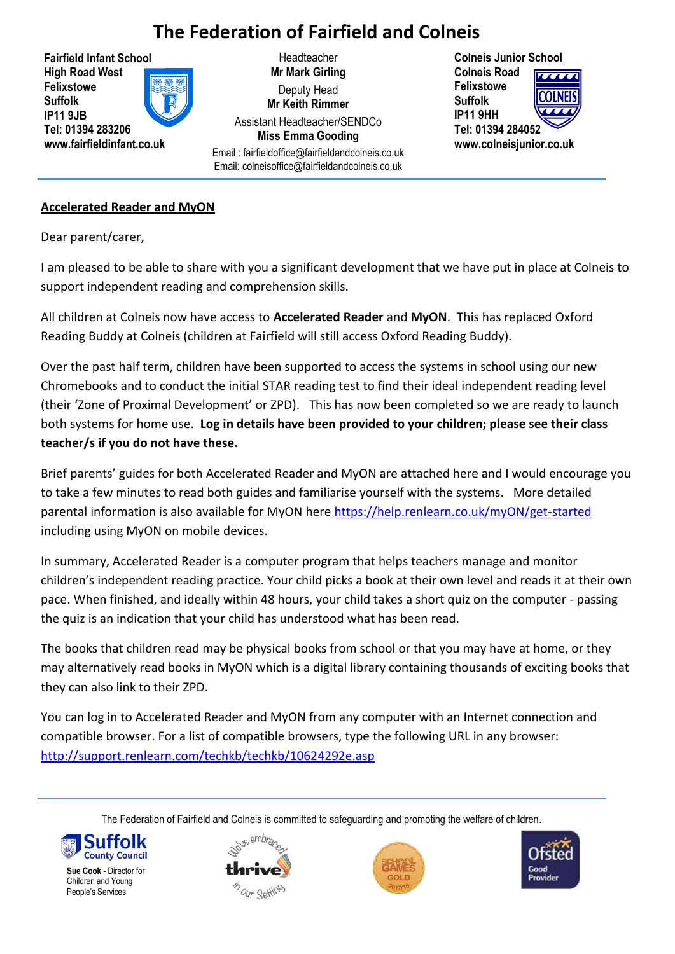# **The Federation of Fairfield and Colneis**

**Fairfield Infant School High Road West Felixstowe Suffolk IP11 9JB Tel: 01394 283206 www.fairfieldinfant.co.uk**

**Headteacher Mr Mark Girling** Deputy Head **Mr Keith Rimmer** Assistant Headteacher/SENDCo **Miss Emma Gooding**

Email : fairfieldoffice@fairfieldandcolneis.co.uk Email: [colneisoffice@fa](mailto:colneis_office@yahoo.co.uk)irfieldandcolneis.co.uk

**Colneis Junior School Colneis Road Felixstowe**  ∩INFI∖ **Suffolk IP11 9HH Tel: 01394 284052 www.colneisjunior.co.uk**

# **Accelerated Reader and MyON**

Dear parent/carer,

I am pleased to be able to share with you a significant development that we have put in place at Colneis to support independent reading and comprehension skills.

All children at Colneis now have access to **Accelerated Reader** and **MyON**. This has replaced Oxford Reading Buddy at Colneis (children at Fairfield will still access Oxford Reading Buddy).

Over the past half term, children have been supported to access the systems in school using our new Chromebooks and to conduct the initial STAR reading test to find their ideal independent reading level (their 'Zone of Proximal Development' or ZPD). This has now been completed so we are ready to launch both systems for home use. **Log in details have been provided to your children; please see their class teacher/s if you do not have these.**

Brief parents' guides for both Accelerated Reader and MyON are attached here and I would encourage you to take a few minutes to read both guides and familiarise yourself with the systems. More detailed parental information is also available for MyON here<https://help.renlearn.co.uk/myON/get-started> including using MyON on mobile devices.

In summary, Accelerated Reader is a computer program that helps teachers manage and monitor children's independent reading practice. Your child picks a book at their own level and reads it at their own pace. When finished, and ideally within 48 hours, your child takes a short quiz on the computer - passing the quiz is an indication that your child has understood what has been read.

The books that children read may be physical books from school or that you may have at home, or they may alternatively read books in MyON which is a digital library containing thousands of exciting books that they can also link to their ZPD.

You can log in to Accelerated Reader and MyON from any computer with an Internet connection and compatible browser. For a list of compatible browsers, type the following URL in any browser: <http://support.renlearn.com/techkb/techkb/10624292e.asp>

The Federation of Fairfield and Colneis is committed to safeguarding and promoting the welfare of children.



**Sue Cook** - Director for Children and Young People's Services





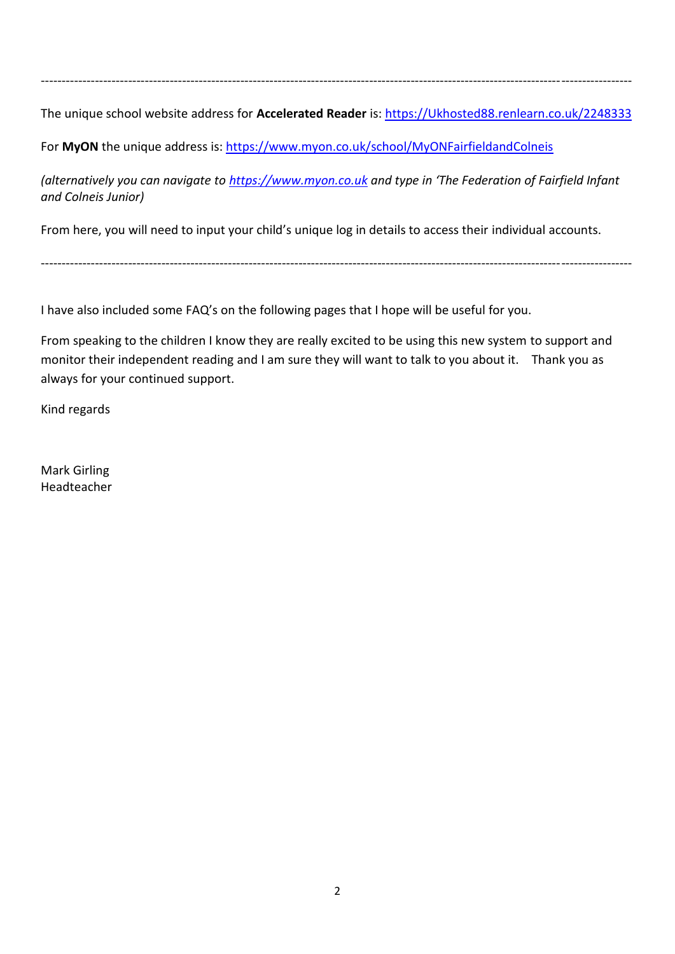----------------------------------------------------------------------------------------------------------------------------------------------

The unique school website address for **Accelerated Reader** is: [https://Ukhosted88.renlearn.co.uk/2248333](https://ukhosted88.renlearn.co.uk/2248333)

For **MyON** the unique address is: <https://www.myon.co.uk/school/MyONFairfieldandColneis>

*(alternatively you can navigate to [https://www.myon.co.uk](https://www.myon.co.uk/) and type in 'The Federation of Fairfield Infant and Colneis Junior)*

----------------------------------------------------------------------------------------------------------------------------------------------

From here, you will need to input your child's unique log in details to access their individual accounts.

I have also included some FAQ's on the following pages that I hope will be useful for you.

From speaking to the children I know they are really excited to be using this new system to support and monitor their independent reading and I am sure they will want to talk to you about it. Thank you as always for your continued support.

Kind regards

Mark Girling Headteacher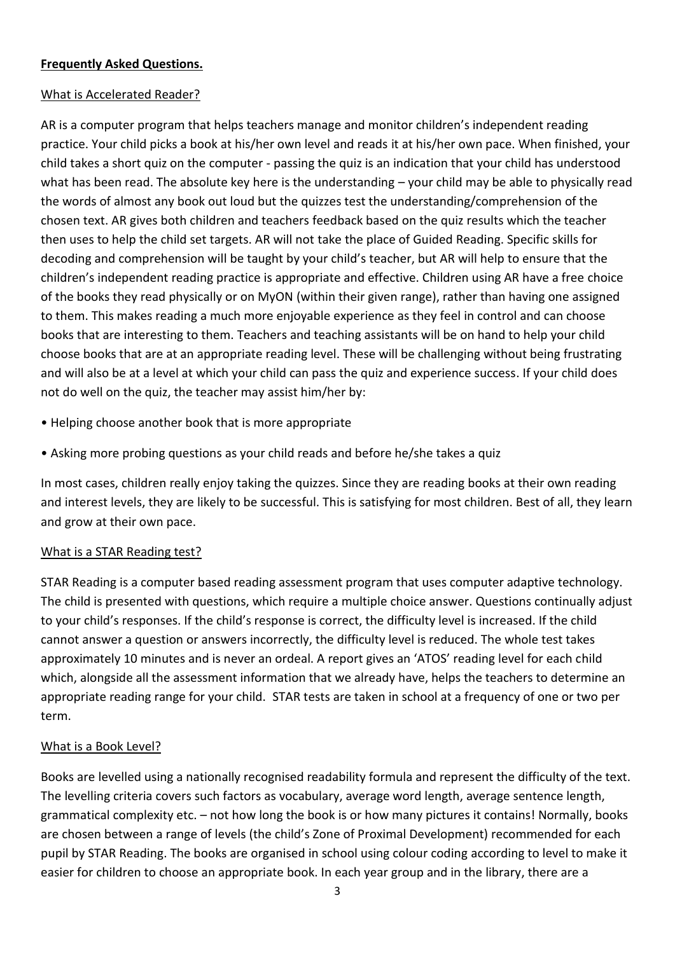## **Frequently Asked Questions.**

## What is Accelerated Reader?

AR is a computer program that helps teachers manage and monitor children's independent reading practice. Your child picks a book at his/her own level and reads it at his/her own pace. When finished, your child takes a short quiz on the computer - passing the quiz is an indication that your child has understood what has been read. The absolute key here is the understanding – your child may be able to physically read the words of almost any book out loud but the quizzes test the understanding/comprehension of the chosen text. AR gives both children and teachers feedback based on the quiz results which the teacher then uses to help the child set targets. AR will not take the place of Guided Reading. Specific skills for decoding and comprehension will be taught by your child's teacher, but AR will help to ensure that the children's independent reading practice is appropriate and effective. Children using AR have a free choice of the books they read physically or on MyON (within their given range), rather than having one assigned to them. This makes reading a much more enjoyable experience as they feel in control and can choose books that are interesting to them. Teachers and teaching assistants will be on hand to help your child choose books that are at an appropriate reading level. These will be challenging without being frustrating and will also be at a level at which your child can pass the quiz and experience success. If your child does not do well on the quiz, the teacher may assist him/her by:

- Helping choose another book that is more appropriate
- Asking more probing questions as your child reads and before he/she takes a quiz

In most cases, children really enjoy taking the quizzes. Since they are reading books at their own reading and interest levels, they are likely to be successful. This is satisfying for most children. Best of all, they learn and grow at their own pace.

# What is a STAR Reading test?

STAR Reading is a computer based reading assessment program that uses computer adaptive technology. The child is presented with questions, which require a multiple choice answer. Questions continually adjust to your child's responses. If the child's response is correct, the difficulty level is increased. If the child cannot answer a question or answers incorrectly, the difficulty level is reduced. The whole test takes approximately 10 minutes and is never an ordeal. A report gives an 'ATOS' reading level for each child which, alongside all the assessment information that we already have, helps the teachers to determine an appropriate reading range for your child. STAR tests are taken in school at a frequency of one or two per term.

#### What is a Book Level?

Books are levelled using a nationally recognised readability formula and represent the difficulty of the text. The levelling criteria covers such factors as vocabulary, average word length, average sentence length, grammatical complexity etc. – not how long the book is or how many pictures it contains! Normally, books are chosen between a range of levels (the child's Zone of Proximal Development) recommended for each pupil by STAR Reading. The books are organised in school using colour coding according to level to make it easier for children to choose an appropriate book. In each year group and in the library, there are a